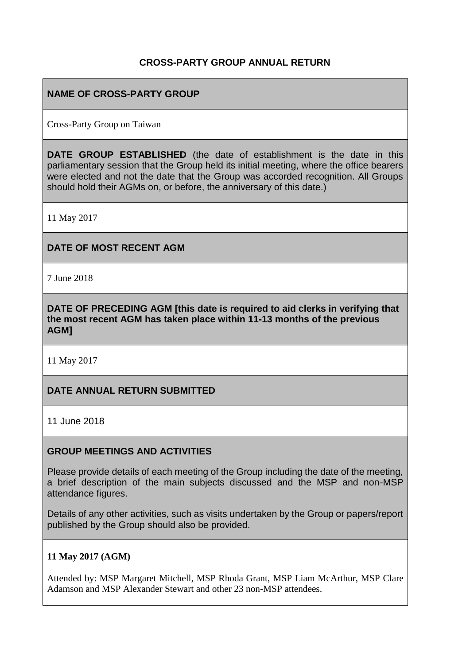# **CROSS-PARTY GROUP ANNUAL RETURN**

# **NAME OF CROSS-PARTY GROUP**

Cross-Party Group on Taiwan

**DATE GROUP ESTABLISHED** (the date of establishment is the date in this parliamentary session that the Group held its initial meeting, where the office bearers were elected and not the date that the Group was accorded recognition. All Groups should hold their AGMs on, or before, the anniversary of this date.)

11 May 2017

#### **DATE OF MOST RECENT AGM**

7 June 2018

**DATE OF PRECEDING AGM [this date is required to aid clerks in verifying that the most recent AGM has taken place within 11-13 months of the previous AGM]**

11 May 2017

#### **DATE ANNUAL RETURN SUBMITTED**

11 June 2018

#### **GROUP MEETINGS AND ACTIVITIES**

Please provide details of each meeting of the Group including the date of the meeting, a brief description of the main subjects discussed and the MSP and non-MSP attendance figures.

Details of any other activities, such as visits undertaken by the Group or papers/report published by the Group should also be provided.

#### **11 May 2017 (AGM)**

Attended by: MSP Margaret Mitchell, MSP Rhoda Grant, MSP Liam McArthur, MSP Clare Adamson and MSP Alexander Stewart and other 23 non-MSP attendees.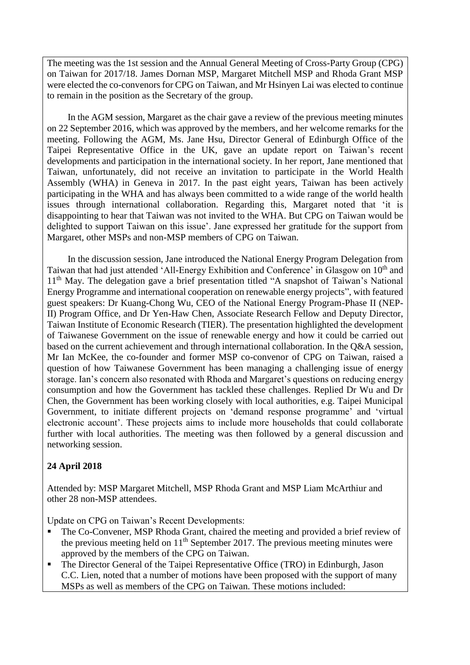The meeting was the 1st session and the Annual General Meeting of Cross-Party Group (CPG) on Taiwan for 2017/18. James Dornan MSP, Margaret Mitchell MSP and Rhoda Grant MSP were elected the co-convenors for CPG on Taiwan, and Mr Hsinyen Lai was elected to continue to remain in the position as the Secretary of the group.

In the AGM session, Margaret as the chair gave a review of the previous meeting minutes on 22 September 2016, which was approved by the members, and her welcome remarks for the meeting. Following the AGM, Ms. Jane Hsu, Director General of Edinburgh Office of the Taipei Representative Office in the UK, gave an update report on Taiwan's recent developments and participation in the international society. In her report, Jane mentioned that Taiwan, unfortunately, did not receive an invitation to participate in the World Health Assembly (WHA) in Geneva in 2017. In the past eight years, Taiwan has been actively participating in the WHA and has always been committed to a wide range of the world health issues through international collaboration. Regarding this, Margaret noted that 'it is disappointing to hear that Taiwan was not invited to the WHA. But CPG on Taiwan would be delighted to support Taiwan on this issue'. Jane expressed her gratitude for the support from Margaret, other MSPs and non-MSP members of CPG on Taiwan.

In the discussion session, Jane introduced the National Energy Program Delegation from Taiwan that had just attended 'All-Energy Exhibition and Conference' in Glasgow on 10<sup>th</sup> and 11<sup>th</sup> May. The delegation gave a brief presentation titled "A snapshot of Taiwan's National Energy Programme and international cooperation on renewable energy projects", with featured guest speakers: Dr Kuang-Chong Wu, CEO of the National Energy Program-Phase II (NEP-II) Program Office, and Dr Yen-Haw Chen, Associate Research Fellow and Deputy Director, Taiwan Institute of Economic Research (TIER). The presentation highlighted the development of Taiwanese Government on the issue of renewable energy and how it could be carried out based on the current achievement and through international collaboration. In the Q&A session, Mr Ian McKee, the co-founder and former MSP co-convenor of CPG on Taiwan, raised a question of how Taiwanese Government has been managing a challenging issue of energy storage. Ian's concern also resonated with Rhoda and Margaret's questions on reducing energy consumption and how the Government has tackled these challenges. Replied Dr Wu and Dr Chen, the Government has been working closely with local authorities, e.g. Taipei Municipal Government, to initiate different projects on 'demand response programme' and 'virtual electronic account'. These projects aims to include more households that could collaborate further with local authorities. The meeting was then followed by a general discussion and networking session.

# **24 April 2018**

Attended by: MSP Margaret Mitchell, MSP Rhoda Grant and MSP Liam McArthiur and other 28 non-MSP attendees.

Update on CPG on Taiwan's Recent Developments:

- The Co-Convener, MSP Rhoda Grant, chaired the meeting and provided a brief review of the previous meeting held on  $11<sup>th</sup>$  September 2017. The previous meeting minutes were approved by the members of the CPG on Taiwan.
- The Director General of the Taipei Representative Office (TRO) in Edinburgh, Jason C.C. Lien, noted that a number of motions have been proposed with the support of many MSPs as well as members of the CPG on Taiwan. These motions included: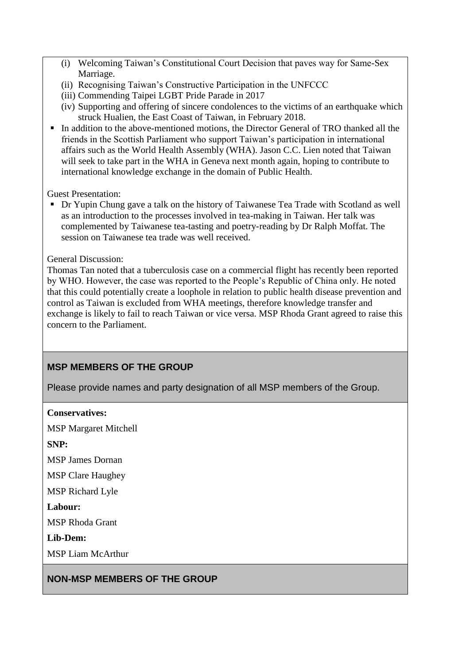- (i) Welcoming Taiwan's Constitutional Court Decision that paves way for Same-Sex Marriage.
- (ii) Recognising Taiwan's Constructive Participation in the UNFCCC
- (iii) Commending Taipei LGBT Pride Parade in 2017
- (iv) Supporting and offering of sincere condolences to the victims of an earthquake which struck Hualien, the East Coast of Taiwan, in February 2018.
- In addition to the above-mentioned motions, the Director General of TRO thanked all the friends in the Scottish Parliament who support Taiwan's participation in international affairs such as the World Health Assembly (WHA). Jason C.C. Lien noted that Taiwan will seek to take part in the WHA in Geneva next month again, hoping to contribute to international knowledge exchange in the domain of Public Health.

Guest Presentation:

■ Dr Yupin Chung gave a talk on the history of Taiwanese Tea Trade with Scotland as well as an introduction to the processes involved in tea-making in Taiwan. Her talk was complemented by Taiwanese tea-tasting and poetry-reading by Dr Ralph Moffat. The session on Taiwanese tea trade was well received.

#### General Discussion:

Thomas Tan noted that a tuberculosis case on a commercial flight has recently been reported by WHO. However, the case was reported to the People's Republic of China only. He noted that this could potentially create a loophole in relation to public health disease prevention and control as Taiwan is excluded from WHA meetings, therefore knowledge transfer and exchange is likely to fail to reach Taiwan or vice versa. MSP Rhoda Grant agreed to raise this concern to the Parliament.

# **MSP MEMBERS OF THE GROUP**

Please provide names and party designation of all MSP members of the Group.

**Conservatives:** MSP Margaret Mitchell **SNP:** MSP James Dornan MSP Clare Haughey MSP Richard Lyle **Labour:** MSP Rhoda Grant **Lib-Dem:**

MSP Liam McArthur

**NON-MSP MEMBERS OF THE GROUP**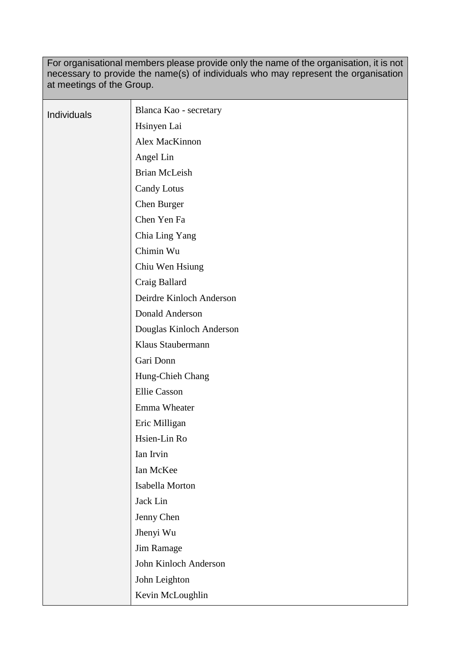For organisational members please provide only the name of the organisation, it is not necessary to provide the name(s) of individuals who may represent the organisation at meetings of the Group.

| Individuals | Blanca Kao - secretary   |
|-------------|--------------------------|
|             | Hsinyen Lai              |
|             | Alex MacKinnon           |
|             | Angel Lin                |
|             | <b>Brian McLeish</b>     |
|             | <b>Candy Lotus</b>       |
|             | Chen Burger              |
|             | Chen Yen Fa              |
|             | Chia Ling Yang           |
|             | Chimin Wu                |
|             | Chiu Wen Hsiung          |
|             | Craig Ballard            |
|             | Deirdre Kinloch Anderson |
|             | Donald Anderson          |
|             | Douglas Kinloch Anderson |
|             | Klaus Staubermann        |
|             | Gari Donn                |
|             | Hung-Chieh Chang         |
|             | <b>Ellie</b> Casson      |
|             | Emma Wheater             |
|             | Eric Milligan            |
|             | Hsien-Lin Ro             |
|             | Ian Irvin                |
|             | Ian McKee                |
|             | Isabella Morton          |
|             | Jack Lin                 |
|             | Jenny Chen               |
|             | Jhenyi Wu                |
|             | Jim Ramage               |
|             | John Kinloch Anderson    |
|             | John Leighton            |
|             | Kevin McLoughlin         |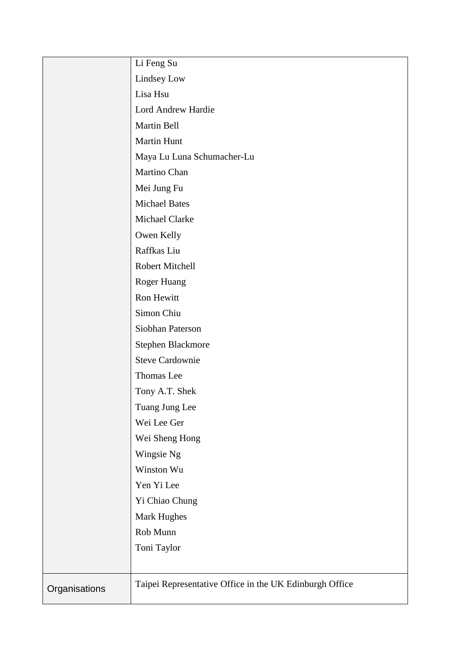|               | Li Feng Su                                              |
|---------------|---------------------------------------------------------|
|               | Lindsey Low                                             |
|               | Lisa Hsu                                                |
|               | Lord Andrew Hardie                                      |
|               | Martin Bell                                             |
|               | Martin Hunt                                             |
|               | Maya Lu Luna Schumacher-Lu                              |
|               | Martino Chan                                            |
|               | Mei Jung Fu                                             |
|               | <b>Michael Bates</b>                                    |
|               | Michael Clarke                                          |
|               | Owen Kelly                                              |
|               | Raffkas Liu                                             |
|               | Robert Mitchell                                         |
|               | Roger Huang                                             |
|               | Ron Hewitt                                              |
|               | Simon Chiu                                              |
|               | Siobhan Paterson                                        |
|               | Stephen Blackmore                                       |
|               | <b>Steve Cardownie</b>                                  |
|               | Thomas Lee                                              |
|               | Tony A.T. Shek                                          |
|               | Tuang Jung Lee                                          |
|               | Wei Lee Ger                                             |
|               | Wei Sheng Hong                                          |
|               | Wingsie Ng                                              |
|               | Winston Wu                                              |
|               | Yen Yi Lee                                              |
|               | Yi Chiao Chung                                          |
|               | <b>Mark Hughes</b>                                      |
|               | Rob Munn                                                |
|               | Toni Taylor                                             |
|               |                                                         |
| Organisations | Taipei Representative Office in the UK Edinburgh Office |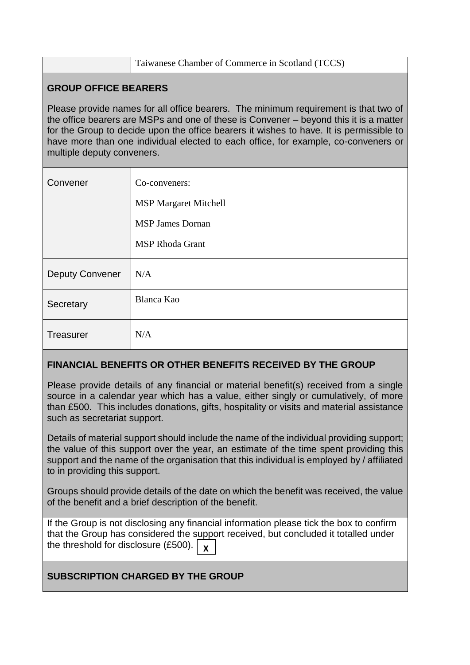|                                                                                                                                                                                                                                                                                                                                                                                             | Taiwanese Chamber of Commerce in Scotland (TCCS) |  |
|---------------------------------------------------------------------------------------------------------------------------------------------------------------------------------------------------------------------------------------------------------------------------------------------------------------------------------------------------------------------------------------------|--------------------------------------------------|--|
| <b>GROUP OFFICE BEARERS</b>                                                                                                                                                                                                                                                                                                                                                                 |                                                  |  |
| Please provide names for all office bearers. The minimum requirement is that two of<br>the office bearers are MSPs and one of these is Convener – beyond this it is a matter<br>for the Group to decide upon the office bearers it wishes to have. It is permissible to<br>have more than one individual elected to each office, for example, co-conveners or<br>multiple deputy conveners. |                                                  |  |
| Convener                                                                                                                                                                                                                                                                                                                                                                                    | Co-conveners:                                    |  |
|                                                                                                                                                                                                                                                                                                                                                                                             | <b>MSP Margaret Mitchell</b>                     |  |
|                                                                                                                                                                                                                                                                                                                                                                                             | <b>MSP James Dornan</b>                          |  |
|                                                                                                                                                                                                                                                                                                                                                                                             | <b>MSP Rhoda Grant</b>                           |  |
| <b>Deputy Convener</b>                                                                                                                                                                                                                                                                                                                                                                      | N/A                                              |  |
| Secretary                                                                                                                                                                                                                                                                                                                                                                                   | Blanca Kao                                       |  |
| Treasurer                                                                                                                                                                                                                                                                                                                                                                                   | N/A                                              |  |

# **FINANCIAL BENEFITS OR OTHER BENEFITS RECEIVED BY THE GROUP**

Please provide details of any financial or material benefit(s) received from a single source in a calendar year which has a value, either singly or cumulatively, of more than £500. This includes donations, gifts, hospitality or visits and material assistance such as secretariat support.

Details of material support should include the name of the individual providing support; the value of this support over the year, an estimate of the time spent providing this support and the name of the organisation that this individual is employed by / affiliated to in providing this support.

Groups should provide details of the date on which the benefit was received, the value of the benefit and a brief description of the benefit.

If the Group is not disclosing any financial information please tick the box to confirm that the Group has considered the support received, but concluded it totalled under the threshold for disclosure (£500). **X**

# **SUBSCRIPTION CHARGED BY THE GROUP**